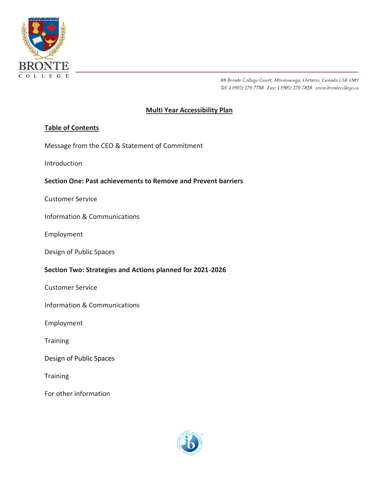

# **Multi Year Accessibility Plan**

# **Table of Contents**

Message from the CEO & Statement of Commitment

Introduction

### **Section One: Past achievements to Remove and Prevent barriers**

Customer Service

Information & Communications

Employment

Design of Public Spaces

### **Section Two: Strategies and Actions planned for 2021-2026**

Customer Service

Information & Communications

Employment

**Training** 

Design of Public Spaces

**Training** 

For other information

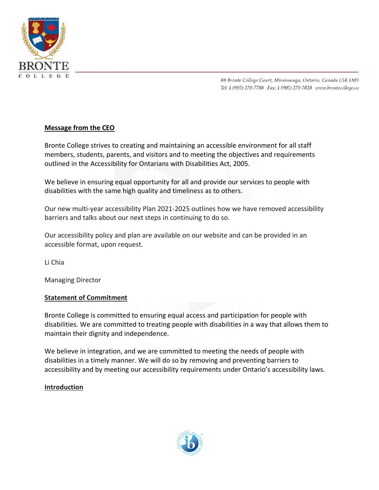

# **Message from the CEO**

Bronte College strives to creating and maintaining an accessible environment for all staff members, students, parents, and visitors and to meeting the objectives and requirements outlined in the Accessibility for Ontarians with Disabilities Act, 2005.

We believe in ensuring equal opportunity for all and provide our services to people with disabilities with the same high quality and timeliness as to others.

Our new multi-year accessibility Plan 2021-2025 outlines how we have removed accessibility barriers and talks about our next steps in continuing to do so.

Our accessibility policy and plan are available on our website and can be provided in an accessible format, upon request.

Li Chia

Managing Director

# **Statement of Commitment**

Bronte College is committed to ensuring equal access and participation for people with disabilities. We are committed to treating people with disabilities in a way that allows them to maintain their dignity and independence.

We believe in integration, and we are committed to meeting the needs of people with disabilities in a timely manner. We will do so by removing and preventing barriers to accessibility and by meeting our accessibility requirements under Ontario's accessibility laws.

# **Introduction**

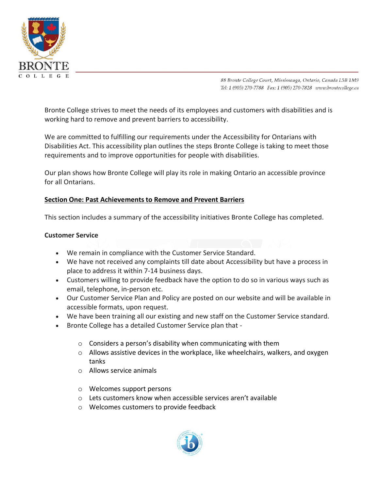

Bronte College strives to meet the needs of its employees and customers with disabilities and is working hard to remove and prevent barriers to accessibility.

We are committed to fulfilling our requirements under the Accessibility for Ontarians with Disabilities Act. This accessibility plan outlines the steps Bronte College is taking to meet those requirements and to improve opportunities for people with disabilities.

Our plan shows how Bronte College will play its role in making Ontario an accessible province for all Ontarians.

# **Section One: Past Achievements to Remove and Prevent Barriers**

This section includes a summary of the accessibility initiatives Bronte College has completed.

# **Customer Service**

- We remain in compliance with the Customer Service Standard.
- We have not received any complaints till date about Accessibility but have a process in place to address it within 7-14 business days.
- Customers willing to provide feedback have the option to do so in various ways such as email, telephone, in-person etc.
- Our Customer Service Plan and Policy are posted on our website and will be available in accessible formats, upon request.
- We have been training all our existing and new staff on the Customer Service standard.
- Bronte College has a detailed Customer Service plan that
	- o Considers a person's disability when communicating with them
	- $\circ$  Allows assistive devices in the workplace, like wheelchairs, walkers, and oxygen tanks
	- o Allows service animals
	- o Welcomes support persons
	- o Lets customers know when accessible services aren't available
	- o Welcomes customers to provide feedback

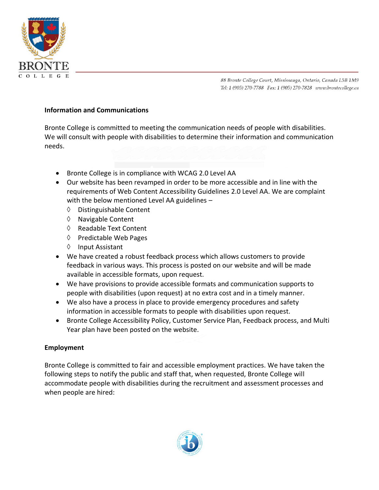

#### **Information and Communications**

Bronte College is committed to meeting the communication needs of people with disabilities. We will consult with people with disabilities to determine their information and communication needs.

- Bronte College is in compliance with WCAG 2.0 Level AA
- Our website has been revamped in order to be more accessible and in line with the requirements of Web Content Accessibility Guidelines 2.0 Level AA. We are complaint with the below mentioned Level AA guidelines –
	- Distinguishable Content
	- $\Diamond$  Navigable Content
	- ♦ Readable Text Content
	- $\Diamond$  Predictable Web Pages
	- $\Diamond$  Input Assistant
- We have created a robust feedback process which allows customers to provide feedback in various ways. This process is posted on our website and will be made available in accessible formats, upon request.
- We have provisions to provide accessible formats and communication supports to people with disabilities (upon request) at no extra cost and in a timely manner.
- We also have a process in place to provide emergency procedures and safety information in accessible formats to people with disabilities upon request.
- Bronte College Accessibility Policy, Customer Service Plan, Feedback process, and Multi Year plan have been posted on the website.

### **Employment**

Bronte College is committed to fair and accessible employment practices. We have taken the following steps to notify the public and staff that, when requested, Bronte College will accommodate people with disabilities during the recruitment and assessment processes and when people are hired:

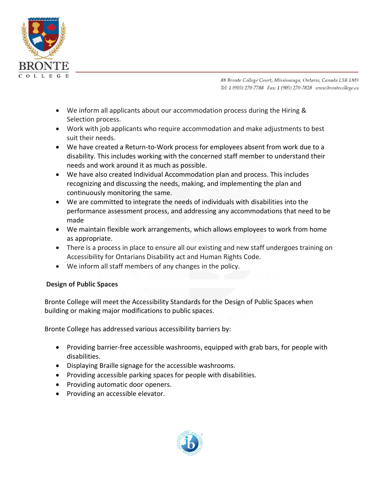

- We inform all applicants about our accommodation process during the Hiring & Selection process.
- Work with job applicants who require accommodation and make adjustments to best suit their needs.
- We have created a Return-to-Work process for employees absent from work due to a disability. This includes working with the concerned staff member to understand their needs and work around it as much as possible.
- We have also created Individual Accommodation plan and process. This includes recognizing and discussing the needs, making, and implementing the plan and continuously monitoring the same.
- We are committed to integrate the needs of individuals with disabilities into the performance assessment process, and addressing any accommodations that need to be made
- We maintain flexible work arrangements, which allows employees to work from home as appropriate.
- There is a process in place to ensure all our existing and new staff undergoes training on Accessibility for Ontarians Disability act and Human Rights Code.
- We inform all staff members of any changes in the policy.

# **Design of Public Spaces**

Bronte College will meet the Accessibility Standards for the Design of Public Spaces when building or making major modifications to public spaces.

Bronte College has addressed various accessibility barriers by:

- Providing barrier-free accessible washrooms, equipped with grab bars, for people with disabilities.
- Displaying Braille signage for the accessible washrooms.
- Providing accessible parking spaces for people with disabilities.
- Providing automatic door openers.
- Providing an accessible elevator.

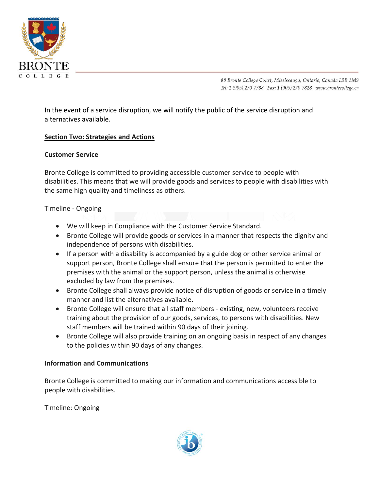

In the event of a service disruption, we will notify the public of the service disruption and alternatives available.

# **Section Two: Strategies and Actions**

### **Customer Service**

Bronte College is committed to providing accessible customer service to people with disabilities. This means that we will provide goods and services to people with disabilities with the same high quality and timeliness as others.

### Timeline - Ongoing

- We will keep in Compliance with the Customer Service Standard.
- Bronte College will provide goods or services in a manner that respects the dignity and independence of persons with disabilities.
- If a person with a disability is accompanied by a guide dog or other service animal or support person, Bronte College shall ensure that the person is permitted to enter the premises with the animal or the support person, unless the animal is otherwise excluded by law from the premises.
- Bronte College shall always provide notice of disruption of goods or service in a timely manner and list the alternatives available.
- Bronte College will ensure that all staff members existing, new, volunteers receive training about the provision of our goods, services, to persons with disabilities. New staff members will be trained within 90 days of their joining.
- Bronte College will also provide training on an ongoing basis in respect of any changes to the policies within 90 days of any changes.

### **Information and Communications**

Bronte College is committed to making our information and communications accessible to people with disabilities.

Timeline: Ongoing

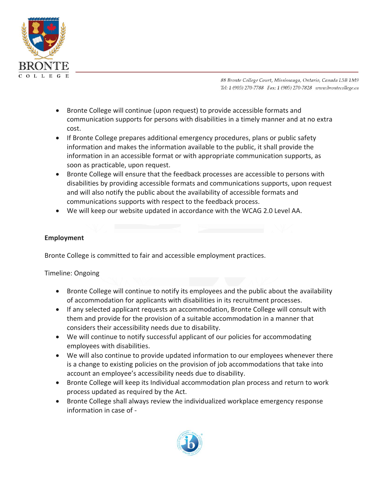

- Bronte College will continue (upon request) to provide accessible formats and communication supports for persons with disabilities in a timely manner and at no extra cost.
- If Bronte College prepares additional emergency procedures, plans or public safety information and makes the information available to the public, it shall provide the information in an accessible format or with appropriate communication supports, as soon as practicable, upon request.
- Bronte College will ensure that the feedback processes are accessible to persons with disabilities by providing accessible formats and communications supports, upon request and will also notify the public about the availability of accessible formats and communications supports with respect to the feedback process.
- We will keep our website updated in accordance with the WCAG 2.0 Level AA.

# **Employment**

Bronte College is committed to fair and accessible employment practices.

Timeline: Ongoing

- Bronte College will continue to notify its employees and the public about the availability of accommodation for applicants with disabilities in its recruitment processes.
- If any selected applicant requests an accommodation, Bronte College will consult with them and provide for the provision of a suitable accommodation in a manner that considers their accessibility needs due to disability.
- We will continue to notify successful applicant of our policies for accommodating employees with disabilities.
- We will also continue to provide updated information to our employees whenever there is a change to existing policies on the provision of job accommodations that take into account an employee's accessibility needs due to disability.
- Bronte College will keep its Individual accommodation plan process and return to work process updated as required by the Act.
- Bronte College shall always review the individualized workplace emergency response information in case of -

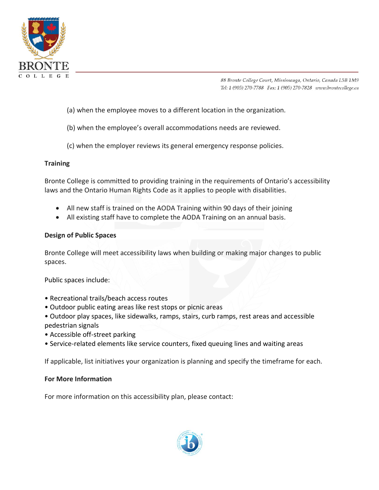

- (a) when the employee moves to a different location in the organization.
- (b) when the employee's overall accommodations needs are reviewed.
- (c) when the employer reviews its general emergency response policies.

# **Training**

Bronte College is committed to providing training in the requirements of Ontario's accessibility laws and the Ontario Human Rights Code as it applies to people with disabilities.

- All new staff is trained on the AODA Training within 90 days of their joining
- All existing staff have to complete the AODA Training on an annual basis.

# **Design of Public Spaces**

Bronte College will meet accessibility laws when building or making major changes to public spaces.

Public spaces include:

- Recreational trails/beach access routes
- Outdoor public eating areas like rest stops or picnic areas
- Outdoor play spaces, like sidewalks, ramps, stairs, curb ramps, rest areas and accessible pedestrian signals
- Accessible off-street parking
- Service-related elements like service counters, fixed queuing lines and waiting areas

If applicable, list initiatives your organization is planning and specify the timeframe for each.

### **For More Information**

For more information on this accessibility plan, please contact: